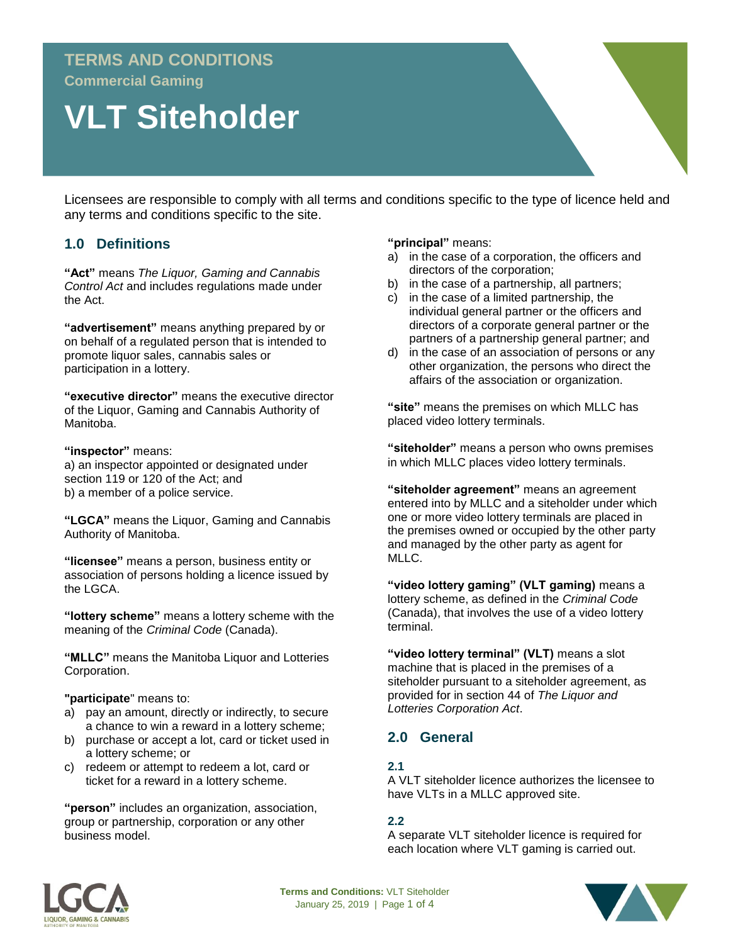# **TERMS AND CONDITIONS Commercial Gaming**

# **VLT Siteholder**

Licensees are responsible to comply with all terms and conditions specific to the type of licence held and any terms and conditions specific to the site.

# **1.0 Definitions**

**"Act"** means *The Liquor, Gaming and Cannabis Control Act* and includes regulations made under the Act.

**"advertisement"** means anything prepared by or on behalf of a regulated person that is intended to promote liquor sales, cannabis sales or participation in a lottery.

**"executive director"** means the executive director of the Liquor, Gaming and Cannabis Authority of Manitoba.

#### **"inspector"** means:

a) an inspector appointed or designated under section 119 or 120 of the Act; and b) a member of a police service.

**"LGCA"** means the Liquor, Gaming and Cannabis Authority of Manitoba.

**"licensee"** means a person, business entity or association of persons holding a licence issued by the LGCA.

**"lottery scheme"** means a lottery scheme with the meaning of the *Criminal Code* (Canada).

**"MLLC"** means the Manitoba Liquor and Lotteries Corporation.

**"participate**" means to:

- a) pay an amount, directly or indirectly, to secure a chance to win a reward in a lottery scheme;
- b) purchase or accept a lot, card or ticket used in a lottery scheme; or
- c) redeem or attempt to redeem a lot, card or ticket for a reward in a lottery scheme.

**"person"** includes an organization, association, group or partnership, corporation or any other business model.

**"principal"** means:

- a) in the case of a corporation, the officers and directors of the corporation;
- b) in the case of a partnership, all partners;
- c) in the case of a limited partnership, the individual general partner or the officers and directors of a corporate general partner or the partners of a partnership general partner; and
- d) in the case of an association of persons or any other organization, the persons who direct the affairs of the association or organization.

**"site"** means the premises on which MLLC has placed video lottery terminals.

**"siteholder"** means a person who owns premises in which MLLC places video lottery terminals.

**"siteholder agreement"** means an agreement entered into by MLLC and a siteholder under which one or more video lottery terminals are placed in the premises owned or occupied by the other party and managed by the other party as agent for MLLC.

**"video lottery gaming" (VLT gaming)** means a lottery scheme, as defined in the *Criminal Code*  (Canada), that involves the use of a video lottery terminal.

**"video lottery terminal" (VLT)** means a slot machine that is placed in the premises of a siteholder pursuant to a siteholder agreement, as provided for in section 44 of *The Liquor and Lotteries Corporation Act*.

# **2.0 General**

#### **2.1**

A VLT siteholder licence authorizes the licensee to have VLTs in a MLLC approved site.

#### **2.2**

A separate VLT siteholder licence is required for each location where VLT gaming is carried out.



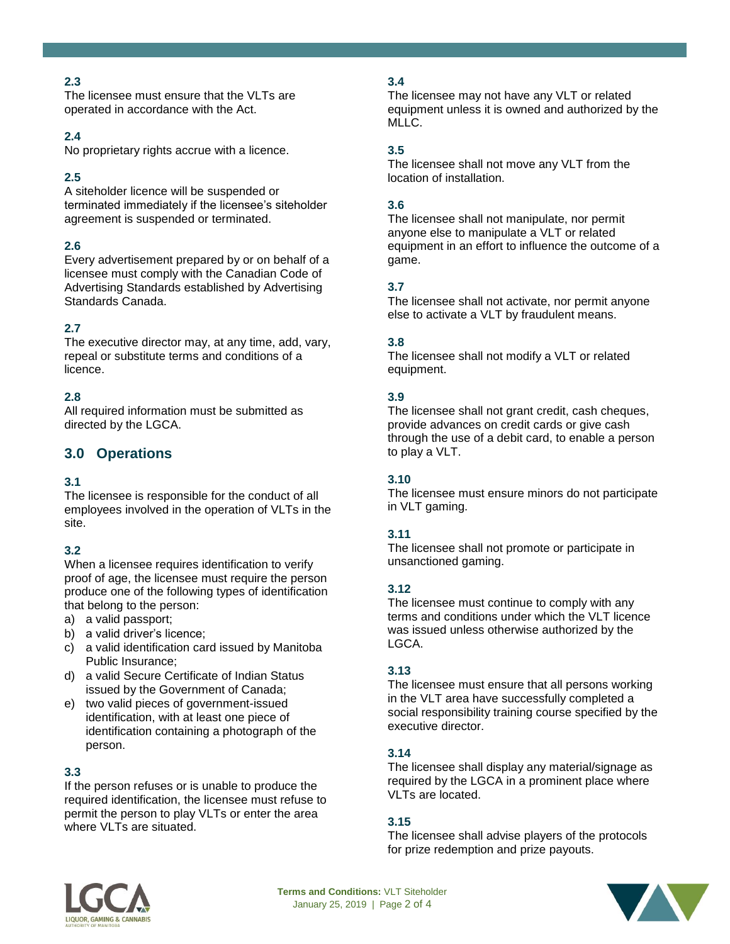# **2.3**

The licensee must ensure that the VLTs are operated in accordance with the Act.

#### **2.4**

No proprietary rights accrue with a licence.

# **2.5**

A siteholder licence will be suspended or terminated immediately if the licensee's siteholder agreement is suspended or terminated.

# **2.6**

Every advertisement prepared by or on behalf of a licensee must comply with the Canadian Code of Advertising Standards established by Advertising Standards Canada.

#### **2.7**

The executive director may, at any time, add, vary, repeal or substitute terms and conditions of a licence.

# **2.8**

All required information must be submitted as directed by the LGCA.

# **3.0 Operations**

#### **3.1**

The licensee is responsible for the conduct of all employees involved in the operation of VLTs in the site.

# **3.2**

When a licensee requires identification to verify proof of age, the licensee must require the person produce one of the following types of identification that belong to the person:

- a) a valid passport;
- b) a valid driver's licence;
- c) a valid identification card issued by Manitoba Public Insurance;
- d) a valid Secure Certificate of Indian Status issued by the Government of Canada;
- e) two valid pieces of government-issued identification, with at least one piece of identification containing a photograph of the person.

#### **3.3**

If the person refuses or is unable to produce the required identification, the licensee must refuse to permit the person to play VLTs or enter the area where VLTs are situated.

# **3.4**

The licensee may not have any VLT or related equipment unless it is owned and authorized by the MLLC.

### **3.5**

The licensee shall not move any VLT from the location of installation.

#### **3.6**

The licensee shall not manipulate, nor permit anyone else to manipulate a VLT or related equipment in an effort to influence the outcome of a game.

#### **3.7**

The licensee shall not activate, nor permit anyone else to activate a VLT by fraudulent means.

#### **3.8**

The licensee shall not modify a VLT or related equipment.

#### **3.9**

The licensee shall not grant credit, cash cheques, provide advances on credit cards or give cash through the use of a debit card, to enable a person to play a VLT.

#### **3.10**

The licensee must ensure minors do not participate in VLT gaming.

#### **3.11**

The licensee shall not promote or participate in unsanctioned gaming.

#### **3.12**

The licensee must continue to comply with any terms and conditions under which the VLT licence was issued unless otherwise authorized by the LGCA.

#### **3.13**

The licensee must ensure that all persons working in the VLT area have successfully completed a social responsibility training course specified by the executive director.

#### **3.14**

The licensee shall display any material/signage as required by the LGCA in a prominent place where VLTs are located.

#### **3.15**

The licensee shall advise players of the protocols for prize redemption and prize payouts.



**Terms and Conditions:** VLT Siteholder January 25, 2019 | Page 2 of 4

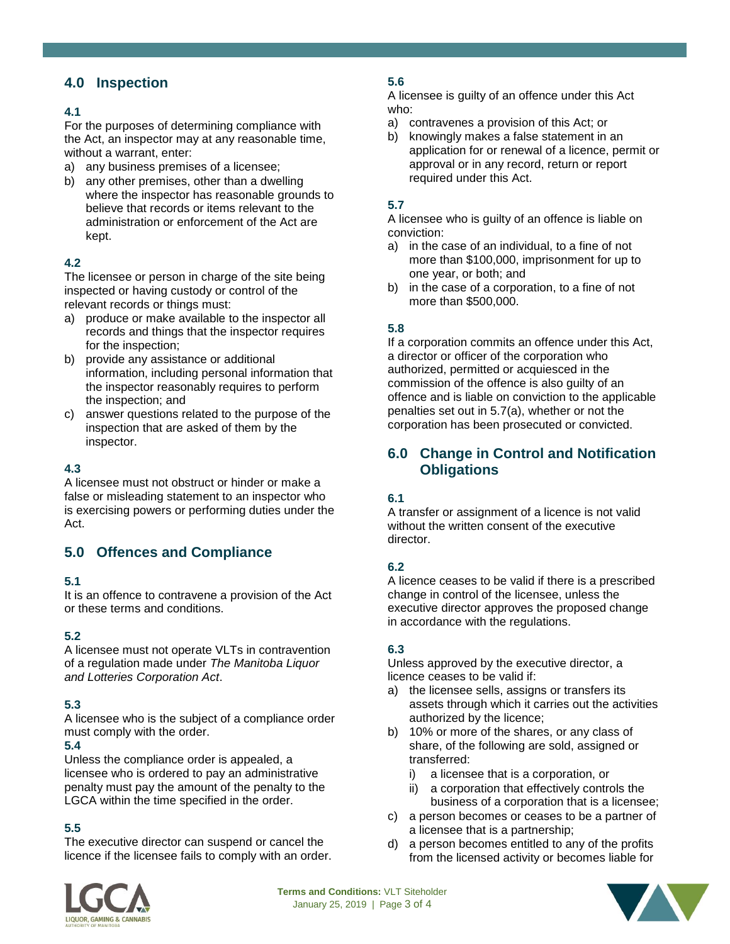# **4.0 Inspection**

#### **4.1**

For the purposes of determining compliance with the Act, an inspector may at any reasonable time, without a warrant, enter:

- a) any business premises of a licensee;
- b) any other premises, other than a dwelling where the inspector has reasonable grounds to believe that records or items relevant to the administration or enforcement of the Act are kept.

#### **4.2**

The licensee or person in charge of the site being inspected or having custody or control of the relevant records or things must:

- a) produce or make available to the inspector all records and things that the inspector requires for the inspection;
- b) provide any assistance or additional information, including personal information that the inspector reasonably requires to perform the inspection; and
- c) answer questions related to the purpose of the inspection that are asked of them by the inspector.

### **4.3**

A licensee must not obstruct or hinder or make a false or misleading statement to an inspector who is exercising powers or performing duties under the Act.

# **5.0 Offences and Compliance**

#### **5.1**

It is an offence to contravene a provision of the Act or these terms and conditions.

#### **5.2**

A licensee must not operate VLTs in contravention of a regulation made under *The Manitoba Liquor and Lotteries Corporation Act*.

#### **5.3**

A licensee who is the subject of a compliance order must comply with the order.

#### **5.4**

Unless the compliance order is appealed, a licensee who is ordered to pay an administrative penalty must pay the amount of the penalty to the LGCA within the time specified in the order.

# **5.5**

The executive director can suspend or cancel the licence if the licensee fails to comply with an order.

# **5.6**

A licensee is guilty of an offence under this Act who:

- a) contravenes a provision of this Act; or
- b) knowingly makes a false statement in an application for or renewal of a licence, permit or approval or in any record, return or report required under this Act.

### **5.7**

A licensee who is guilty of an offence is liable on conviction:

- a) in the case of an individual, to a fine of not more than \$100,000, imprisonment for up to one year, or both; and
- b) in the case of a corporation, to a fine of not more than \$500,000.

#### **5.8**

If a corporation commits an offence under this Act, a director or officer of the corporation who authorized, permitted or acquiesced in the commission of the offence is also guilty of an offence and is liable on conviction to the applicable penalties set out in 5.7(a), whether or not the corporation has been prosecuted or convicted.

# **6.0 Change in Control and Notification Obligations**

#### **6.1**

A transfer or assignment of a licence is not valid without the written consent of the executive director.

#### **6.2**

A licence ceases to be valid if there is a prescribed change in control of the licensee, unless the executive director approves the proposed change in accordance with the regulations.

#### **6.3**

Unless approved by the executive director, a licence ceases to be valid if:

- a) the licensee sells, assigns or transfers its assets through which it carries out the activities authorized by the licence;
- b) 10% or more of the shares, or any class of share, of the following are sold, assigned or transferred:
	- i) a licensee that is a corporation, or
	- ii) a corporation that effectively controls the business of a corporation that is a licensee;
- c) a person becomes or ceases to be a partner of a licensee that is a partnership;
- d) a person becomes entitled to any of the profits from the licensed activity or becomes liable for



**Terms and Conditions:** VLT Siteholder January 25, 2019 | Page 3 of 4